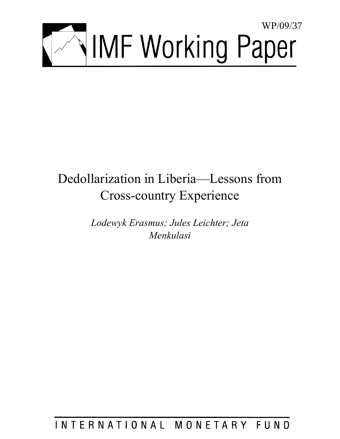

# Dedollarization in Liberia—Lessons from Cross-country Experience

*Lodewyk Erasmus; Jules Leichter; Jeta Menkulasi* 

INTERNATIONAL MONETARY FUND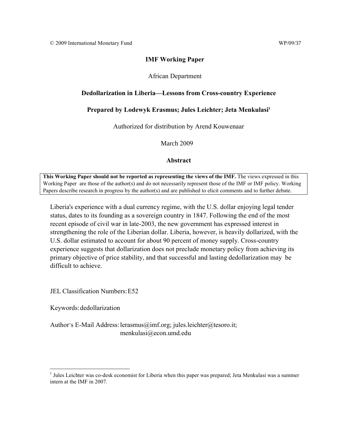# **IMF Working Paper**

## African Department

## **Dedollarization in Liberia—Lessons from Cross-country Experience**

# Prepared by Lodewyk Erasmus; Jules Leichter; Jeta Menkulasi<sup>1</sup>

Authorized for distribution by Arend Kouwenaar

March 2009

## **Abstract**

This Working Paper should not be reported as representing the views of the IMF. The views expressed in this Working Paper are those of the author(s) and do not necessarily represent those of the IMF or IMF policy. Working Papers describe research in progress by the author(s) and are published to elicit comments and to further debate.

Liberia's experience with a dual currency regime, with the U.S. dollar enjoying legal tender status, dates to its founding as a sovereign country in 1847. Following the end of the most recent episode of civil war in late-2003, the new government has expressed interest in strengthening the role of the Liberian dollar. Liberia, however, is heavily dollarized, with the U.S. dollar estimated to account for about 90 percent of money supply. Cross-country experience suggests that dollarization does not preclude monetary policy from achieving its primary objective of price stability, and that successful and lasting dedollarization may be difficult to achieve.

JEL Classification Numbers: E52

Keywords: dedollarization

Author's E-Mail Address: lerasmus@imf.org; jules.leichter@tesoro.it; menkulasi@econ.umd.edu

 1 Jules Leichter was co-desk economist for Liberia when this paper was prepared; Jeta Menkulasi was a summer intern at the IMF in 2007.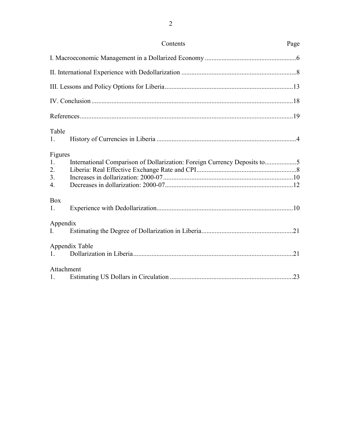|                                                           | Contents                                                                 | Page |  |  |  |
|-----------------------------------------------------------|--------------------------------------------------------------------------|------|--|--|--|
|                                                           |                                                                          |      |  |  |  |
|                                                           |                                                                          |      |  |  |  |
|                                                           |                                                                          |      |  |  |  |
|                                                           |                                                                          |      |  |  |  |
|                                                           |                                                                          |      |  |  |  |
| Table<br>1.                                               |                                                                          |      |  |  |  |
| Figures<br>1.<br>2.<br>3 <sub>1</sub><br>$\overline{4}$ . | International Comparison of Dollarization: Foreign Currency Deposits to5 |      |  |  |  |
| <b>Box</b><br>1.                                          |                                                                          |      |  |  |  |
| Appendix<br>$\mathbf{I}$                                  |                                                                          |      |  |  |  |
| $\mathbf{1}$                                              | Appendix Table                                                           |      |  |  |  |
| Attachment<br>1.                                          |                                                                          |      |  |  |  |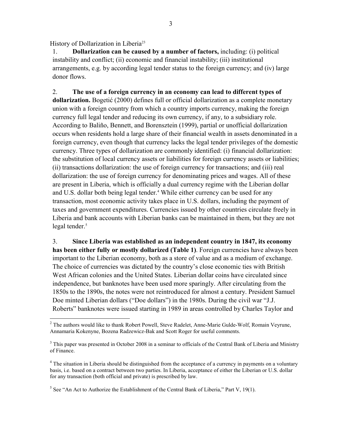History of Dollarization in Liberia<sup>23</sup>

1

1. **Dollarization can be caused by a number of factors,** including: (i) political instability and conflict; (ii) economic and financial instability; (iii) institutional arrangements, e.g. by according legal tender status to the foreign currency; and (iv) large donor flows.

2. **The use of a foreign currency in an economy can lead to different types of dollarization.** Bogetić (2000) defines full or official dollarization as a complete monetary union with a foreign country from which a country imports currency, making the foreign currency full legal tender and reducing its own currency, if any, to a subsidiary role. According to Baliño, Bennett, and Borensztein (1999), partial or unofficial dollarization occurs when residents hold a large share of their financial wealth in assets denominated in a foreign currency, even though that currency lacks the legal tender privileges of the domestic currency. Three types of dollarization are commonly identified: (i) financial dollarization: the substitution of local currency assets or liabilities for foreign currency assets or liabilities; (ii) transactions dollarization: the use of foreign currency for transactions; and (iii) real dollarization: the use of foreign currency for denominating prices and wages. All of these are present in Liberia, which is officially a dual currency regime with the Liberian dollar and U.S. dollar both being legal tender.<sup>4</sup> While either currency can be used for any transaction, most economic activity takes place in U.S. dollars, including the payment of taxes and government expenditures. Currencies issued by other countries circulate freely in Liberia and bank accounts with Liberian banks can be maintained in them, but they are not legal tender.<sup>5</sup>

3. **Since Liberia was established as an independent country in 1847, its economy has been either fully or mostly dollarized (Table 1)**. Foreign currencies have always been important to the Liberian economy, both as a store of value and as a medium of exchange. The choice of currencies was dictated by the country's close economic ties with British West African colonies and the United States. Liberian dollar coins have circulated since independence, but banknotes have been used more sparingly. After circulating from the 1850s to the 1890s, the notes were not reintroduced for almost a century. President Samuel Doe minted Liberian dollars ("Doe dollars") in the 1980s. During the civil war "J.J. Roberts" banknotes were issued starting in 1989 in areas controlled by Charles Taylor and

<sup>&</sup>lt;sup>2</sup> The authors would like to thank Robert Powell, Steve Radelet, Anne-Marie Gulde-Wolf, Romain Veyrune, Annamaria Kokenyne, Bozena Radzewicz-Bak and Scott Roger for useful comments.

 $3$  This paper was presented in October 2008 in a seminar to officials of the Central Bank of Liberia and Ministry of Finance.

<sup>&</sup>lt;sup>4</sup> The situation in Liberia should be distinguished from the acceptance of a currency in payments on a voluntary basis, i.e. based on a contract between two parties. In Liberia, acceptance of either the Liberian or U.S. dollar for any transaction (both official and private) is prescribed by law.

<sup>&</sup>lt;sup>5</sup> See "An Act to Authorize the Establishment of the Central Bank of Liberia," Part V, 19(1).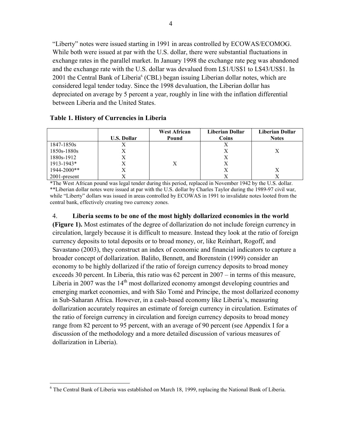"Liberty" notes were issued starting in 1991 in areas controlled by ECOWAS/ECOMOG. While both were issued at par with the U.S. dollar, there were substantial fluctuations in exchange rates in the parallel market. In January 1998 the exchange rate peg was abandoned and the exchange rate with the U.S. dollar was devalued from L\$1/US\$1 to L\$43/US\$1. In 2001 the Central Bank of Liberia<sup>6</sup> (CBL) began issuing Liberian dollar notes, which are considered legal tender today. Since the 1998 devaluation, the Liberian dollar has depreciated on average by 5 percent a year, roughly in line with the inflation differential between Liberia and the United States.

# **Table 1. History of Currencies in Liberia**

|                 |                    | <b>West African</b> | Liberian Dollar | Liberian Dollar |
|-----------------|--------------------|---------------------|-----------------|-----------------|
|                 | <b>U.S. Dollar</b> | Pound               | Coins           | <b>Notes</b>    |
| 1847-1850s      |                    |                     | Х               |                 |
| 1850s-1880s     |                    |                     | Х               |                 |
| 1880s-1912      |                    |                     | Χ               |                 |
| 1913-1943*      | Χ                  |                     | Х               |                 |
| 1944-2000**     |                    |                     | Х               |                 |
| $2001$ -present |                    |                     |                 |                 |

\*The West African pound was legal tender during this period, replaced in November 1942 by the U.S. dollar. \*\*Liberian dollar notes were issued at par with the U.S. dollar by Charles Taylor during the 1989-97 civil war, while "Liberty" dollars was issued in areas controlled by ECOWAS in 1991 to invalidate notes looted from the central bank, effectively creating two currency zones.

4. **Liberia seems to be one of the most highly dollarized economies in the world (Figure 1).** Most estimates of the degree of dollarization do not include foreign currency in circulation, largely because it is difficult to measure. Instead they look at the ratio of foreign currency deposits to total deposits or to broad money, or, like Reinhart, Rogoff, and Savastano (2003), they construct an index of economic and financial indicators to capture a broader concept of dollarization. Baliño, Bennett, and Borenstein (1999) consider an economy to be highly dollarized if the ratio of foreign currency deposits to broad money exceeds 30 percent. In Liberia, this ratio was 62 percent in 2007 – in terms of this measure, Liberia in 2007 was the  $14<sup>th</sup>$  most dollarized economy amongst developing countries and emerging market economies, and with São Tomé and Príncipe, the most dollarized economy in Sub-Saharan Africa. However, in a cash-based economy like Liberia's, measuring dollarization accurately requires an estimate of foreign currency in circulation. Estimates of the ratio of foreign currency in circulation and foreign currency deposits to broad money range from 82 percent to 95 percent, with an average of 90 percent (see Appendix I for a discussion of the methodology and a more detailed discussion of various measures of dollarization in Liberia).

The Central Bank of Liberia was established on March 18, 1999, replacing the National Bank of Liberia.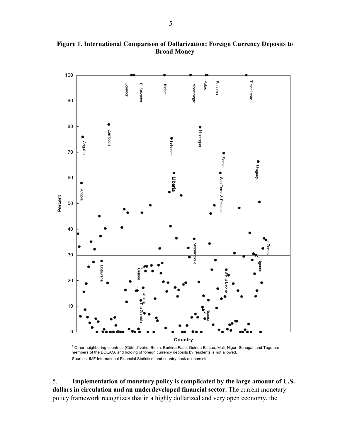

**Figure 1. International Comparison of Dollarization: Foreign Currency Deposits to Broad Money** 

<sup>1</sup> Other neighboring countries (Côte d'Ivoire, Benin, Burkina Faso, Guinea-Bissau, Mali, Niger, Senegal, and Togo are members of the BCEAO, and holding of foreign currency deposits by residents is not allowed.

5. **Implementation of monetary policy is complicated by the large amount of U.S. dollars in circulation and an underdeveloped financial sector.** The current monetary policy framework recognizes that in a highly dollarized and very open economy, the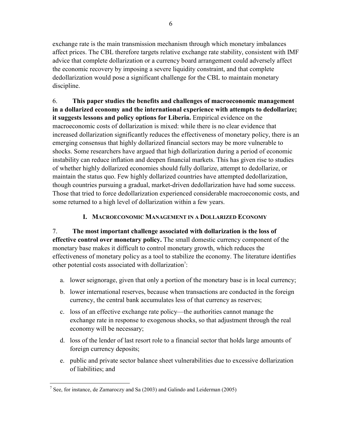exchange rate is the main transmission mechanism through which monetary imbalances affect prices. The CBL therefore targets relative exchange rate stability, consistent with IMF advice that complete dollarization or a currency board arrangement could adversely affect the economic recovery by imposing a severe liquidity constraint, and that complete dedollarization would pose a significant challenge for the CBL to maintain monetary discipline.

6. **This paper studies the benefits and challenges of macroeconomic management in a dollarized economy and the international experience with attempts to dedollarize; it suggests lessons and policy options for Liberia.** Empirical evidence on the macroeconomic costs of dollarization is mixed: while there is no clear evidence that increased dollarization significantly reduces the effectiveness of monetary policy, there is an emerging consensus that highly dollarized financial sectors may be more vulnerable to shocks. Some researchers have argued that high dollarization during a period of economic instability can reduce inflation and deepen financial markets. This has given rise to studies of whether highly dollarized economies should fully dollarize, attempt to dedollarize, or maintain the status quo. Few highly dollarized countries have attempted dedollarization, though countries pursuing a gradual, market-driven dedollarization have had some success. Those that tried to force dedollarization experienced considerable macroeconomic costs, and some returned to a high level of dollarization within a few years.

# **I. MACROECONOMIC MANAGEMENT IN A DOLLARIZED ECONOMY**

7. **The most important challenge associated with dollarization is the loss of effective control over monetary policy.** The small domestic currency component of the monetary base makes it difficult to control monetary growth, which reduces the effectiveness of monetary policy as a tool to stabilize the economy. The literature identifies other potential costs associated with dollarization<sup>7</sup>:

- a. lower seignorage, given that only a portion of the monetary base is in local currency;
- b. lower international reserves, because when transactions are conducted in the foreign currency, the central bank accumulates less of that currency as reserves;
- c. loss of an effective exchange rate policy—the authorities cannot manage the exchange rate in response to exogenous shocks, so that adjustment through the real economy will be necessary;
- d. loss of the lender of last resort role to a financial sector that holds large amounts of foreign currency deposits;
- e. public and private sector balance sheet vulnerabilities due to excessive dollarization of liabilities; and

 $\overline{a}$ <sup>7</sup> See, for instance, de Zamaroczy and Sa (2003) and Galindo and Leiderman (2005)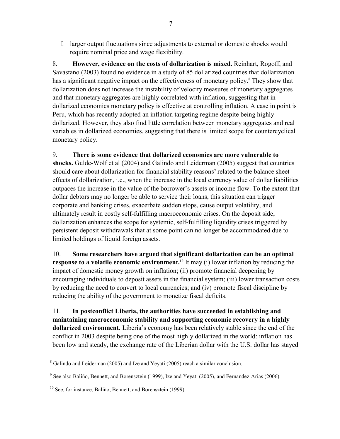f. larger output fluctuations since adjustments to external or domestic shocks would require nominal price and wage flexibility.

8. **However, evidence on the costs of dollarization is mixed.** Reinhart, Rogoff, and Savastano (2003) found no evidence in a study of 85 dollarized countries that dollarization has a significant negative impact on the effectiveness of monetary policy.<sup>8</sup> They show that dollarization does not increase the instability of velocity measures of monetary aggregates and that monetary aggregates are highly correlated with inflation, suggesting that in dollarized economies monetary policy is effective at controlling inflation. A case in point is Peru, which has recently adopted an inflation targeting regime despite being highly dollarized. However, they also find little correlation between monetary aggregates and real variables in dollarized economies, suggesting that there is limited scope for countercyclical monetary policy.

# 9. **There is some evidence that dollarized economies are more vulnerable to**

**shocks.** Gulde-Wolf et al (2004) and Galindo and Leiderman (2005) suggest that countries should care about dollarization for financial stability reasons<sup>9</sup> related to the balance sheet effects of dollarization, i.e., when the increase in the local currency value of dollar liabilities outpaces the increase in the value of the borrower's assets or income flow. To the extent that dollar debtors may no longer be able to service their loans, this situation can trigger corporate and banking crises, exacerbate sudden stops, cause output volatility, and ultimately result in costly self-fulfilling macroeconomic crises. On the deposit side, dollarization enhances the scope for systemic, self-fulfilling liquidity crises triggered by persistent deposit withdrawals that at some point can no longer be accommodated due to limited holdings of liquid foreign assets.

10. **Some researchers have argued that significant dollarization can be an optimal response to a volatile economic environment.<sup>10</sup> It may (i) lower inflation by reducing the** impact of domestic money growth on inflation; (ii) promote financial deepening by encouraging individuals to deposit assets in the financial system; (iii) lower transaction costs by reducing the need to convert to local currencies; and (iv) promote fiscal discipline by reducing the ability of the government to monetize fiscal deficits.

11. **In postconflict Liberia, the authorities have succeeded in establishing and maintaining macroeconomic stability and supporting economic recovery in a highly dollarized environment.** Liberia's economy has been relatively stable since the end of the conflict in 2003 despite being one of the most highly dollarized in the world: inflation has been low and steady, the exchange rate of the Liberian dollar with the U.S. dollar has stayed

<sup>&</sup>lt;sup>8</sup> Galindo and Leiderman (2005) and Ize and Yeyati (2005) reach a similar conclusion.

<sup>&</sup>lt;sup>9</sup> See also Baliño, Bennett, and Borensztein (1999), Ize and Yeyati (2005), and Fernandez-Arias (2006).

<sup>&</sup>lt;sup>10</sup> See, for instance, Baliño, Bennett, and Borensztein (1999).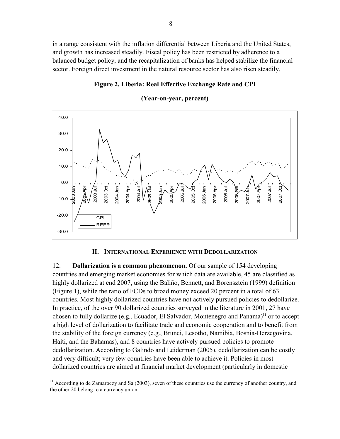in a range consistent with the inflation differential between Liberia and the United States, and growth has increased steadily. Fiscal policy has been restricted by adherence to a balanced budget policy, and the recapitalization of banks has helped stabilize the financial sector. Foreign direct investment in the natural resource sector has also risen steadily.

## **Figure 2. Liberia: Real Effective Exchange Rate and CPI**



### **(Year-on-year, percent)**

## **II. INTERNATIONAL EXPERIENCE WITH DEDOLLARIZATION**

12. **Dollarization is a common phenomenon.** Of our sample of 154 developing countries and emerging market economies for which data are available, 45 are classified as highly dollarized at end 2007, using the Baliño, Bennett, and Borensztein (1999) definition (Figure 1), while the ratio of FCDs to broad money exceed 20 percent in a total of 63 countries. Most highly dollarized countries have not actively pursued policies to dedollarize. In practice, of the over 90 dollarized countries surveyed in the literature in 2001, 27 have chosen to fully dollarize (e.g., Ecuador, El Salvador, Montenegro and Panama)<sup>11</sup> or to accept a high level of dollarization to facilitate trade and economic cooperation and to benefit from the stability of the foreign currency (e.g., Brunei, Lesotho, Namibia, Bosnia-Herzegovina, Haiti, and the Bahamas), and 8 countries have actively pursued policies to promote dedollarization. According to Galindo and Leiderman (2005), dedollarization can be costly and very difficult; very few countries have been able to achieve it. Policies in most dollarized countries are aimed at financial market development (particularly in domestic

 $\overline{a}$ 

<sup>&</sup>lt;sup>11</sup> According to de Zamaroczy and Sa (2003), seven of these countries use the currency of another country, and the other 20 belong to a currency union.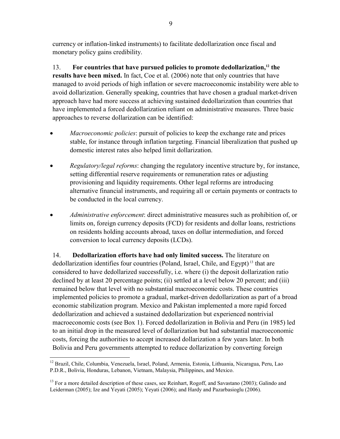currency or inflation-linked instruments) to facilitate dedollarization once fiscal and monetary policy gains credibility.

13. **For countries that have pursued policies to promote dedollarization,12 the results have been mixed.** In fact, Coe et al. (2006) note that only countries that have managed to avoid periods of high inflation or severe macroeconomic instability were able to avoid dollarization. Generally speaking, countries that have chosen a gradual market-driven approach have had more success at achieving sustained dedollarization than countries that have implemented a forced dedollarization reliant on administrative measures. Three basic approaches to reverse dollarization can be identified:

- *Macroeconomic policies*: pursuit of policies to keep the exchange rate and prices stable, for instance through inflation targeting. Financial liberalization that pushed up domestic interest rates also helped limit dollarization.
- *Regulatory/legal reforms*: changing the regulatory incentive structure by, for instance, setting differential reserve requirements or remuneration rates or adjusting provisioning and liquidity requirements. Other legal reforms are introducing alternative financial instruments, and requiring all or certain payments or contracts to be conducted in the local currency.
- *Administrative enforcement*: direct administrative measures such as prohibition of, or limits on, foreign currency deposits (FCD) for residents and dollar loans, restrictions on residents holding accounts abroad, taxes on dollar intermediation, and forced conversion to local currency deposits (LCDs).

14. **Dedollarization efforts have had only limited success.** The literature on dedollarization identifies four countries (Poland, Israel, Chile, and Egypt)<sup>13</sup> that are considered to have dedollarized successfully, i.e. where (i) the deposit dollarization ratio declined by at least 20 percentage points; (ii) settled at a level below 20 percent; and (iii) remained below that level with no substantial macroeconomic costs. These countries implemented policies to promote a gradual, market-driven dedollarization as part of a broad economic stabilization program. Mexico and Pakistan implemented a more rapid forced dedollarization and achieved a sustained dedollarization but experienced nontrivial macroeconomic costs (see Box 1). Forced dedollarization in Bolivia and Peru (in 1985) led to an initial drop in the measured level of dollarization but had substantial macroeconomic costs, forcing the authorities to accept increased dollarization a few years later. In both Bolivia and Peru governments attempted to reduce dollarization by converting foreign

 $\overline{a}$ <sup>12</sup> Brazil, Chile, Columbia, Venezuela, Israel, Poland, Armenia, Estonia, Lithuania, Nicaragua, Peru, Lao P.D.R., Bolivia, Honduras, Lebanon, Vietnam, Malaysia, Philippines, and Mexico.

 $13$  For a more detailed description of these cases, see Reinhart, Rogoff, and Savastano (2003); Galindo and Leiderman (2005); Ize and Yeyati (2005); Yeyati (2006); and Hardy and Pazarbasioglu (2006).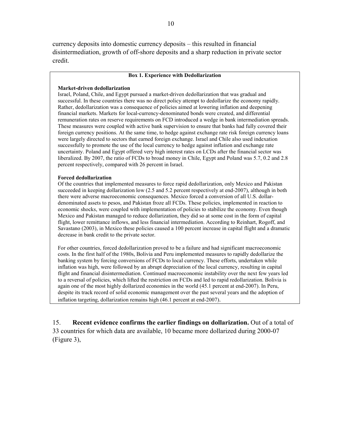currency deposits into domestic currency deposits – this resulted in financial disintermediation, growth of off-shore deposits and a sharp reduction in private sector credit.

#### **Box 1. Experience with Dedollarization**

#### **Market-driven dedollarization**

Israel, Poland, Chile, and Egypt pursued a market-driven dedollarization that was gradual and successful. In these countries there was no direct policy attempt to dedollarize the economy rapidly. Rather, dedollarization was a consequence of policies aimed at lowering inflation and deepening financial markets. Markets for local-currency-denominated bonds were created, and differential remuneration rates on reserve requirements on FCD introduced a wedge in bank intermediation spreads. These measures were coupled with active bank supervision to ensure that banks had fully covered their foreign currency positions. At the same time, to hedge against exchange rate risk foreign currency loans were largely directed to sectors that earned foreign exchange. Israel and Chile also used indexation successfully to promote the use of the local currency to hedge against inflation and exchange rate uncertainty. Poland and Egypt offered very high interest rates on LCDs after the financial sector was liberalized. By 2007, the ratio of FCDs to broad money in Chile, Egypt and Poland was 5.7, 0.2 and 2.8 percent respectively, compared with 26 percent in Israel.

#### **Forced dedollarization**

Of the countries that implemented measures to force rapid dedollarization, only Mexico and Pakistan succeeded in keeping dollarization low (2.5 and 5.2 percent respectively at end-2007), although in both there were adverse macroeconomic consequences. Mexico forced a conversion of all U.S. dollardenominated assets to pesos, and Pakistan froze all FCDs. These policies, implemented in reaction to economic shocks, were coupled with implementation of policies to stabilize the economy. Even though Mexico and Pakistan managed to reduce dollarization, they did so at some cost in the form of capital flight, lower remittance inflows, and less financial intermediation. According to Reinhart, Rogoff, and Savastano (2003), in Mexico these policies caused a 100 percent increase in capital flight and a dramatic decrease in bank credit to the private sector.

For other countries, forced dedollarization proved to be a failure and had significant macroeconomic costs. In the first half of the 1980s, Bolivia and Peru implemented measures to rapidly dedollarize the banking system by forcing conversions of FCDs to local currency. These efforts, undertaken while inflation was high, were followed by an abrupt depreciation of the local currency, resulting in capital flight and financial disintermediation. Continued macroeconomic instability over the next few years led to a reversal of policies, which lifted the restriction on FCDs and led to rapid redollarization. Bolivia is again one of the most highly dollarized economies in the world (45.1 percent at end-2007). In Peru, despite its track record of solid economic management over the past several years and the adoption of inflation targeting, dollarization remains high (46.1 percent at end-2007).

15. **Recent evidence confirms the earlier findings on dollarization.** Out of a total of 33 countries for which data are available, 10 became more dollarized during 2000-07 (Figure 3),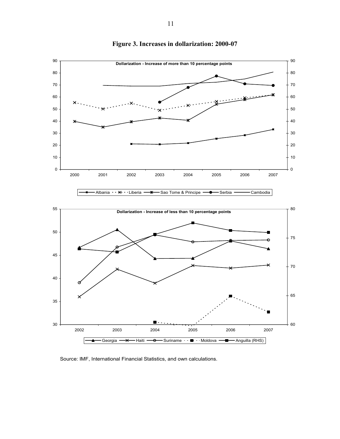

# **Figure 3. Increases in dollarization: 2000-07**

Source: IMF, International Financial Statistics, and own calculations.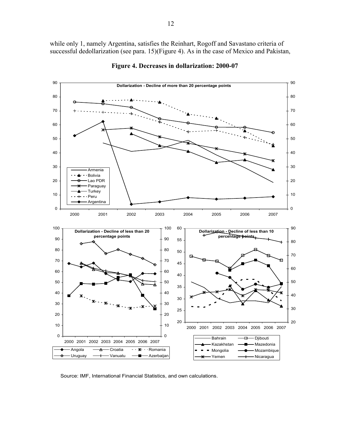while only 1, namely Argentina, satisfies the Reinhart, Rogoff and Savastano criteria of successful dedollarization (see para. 15)(Figure 4). As in the case of Mexico and Pakistan,



**Figure 4. Decreases in dollarization: 2000-07** 

Source: IMF, International Financial Statistics, and own calculations.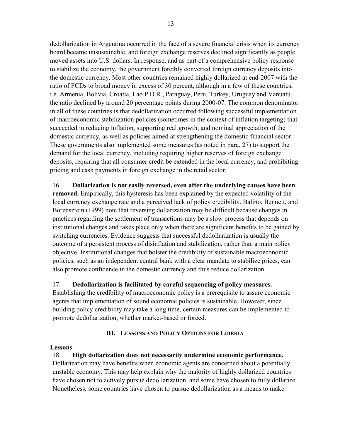dedollarization in Argentina occurred in the face of a severe financial crisis when its currency board became unsustainable, and foreign exchange reserves declined significantly as people moved assets into U.S. dollars. In response, and as part of a comprehensive policy response to stabilize the economy, the government forcibly converted foreign currency deposits into the domestic currency. Most other countries remained highly dollarized at end-2007 with the ratio of FCDs to broad money in excess of 30 percent, although in a few of these countries, i.e. Armenia, Bolivia, Croatia, Lao P.D.R., Paraguay, Peru, Turkey, Uruguay and Vanuatu, the ratio declined by around 20 percentage points during 2000-07. The common denominator in all of these countries is that dedollarization occurred following successful implementation of macroeconomic stabilization policies (sometimes in the context of inflation targeting) that succeeded in reducing inflation, supporting real growth, and nominal appreciation of the domestic currency, as well as policies aimed at strengthening the domestic financial sector. These governments also implemented some measures (as noted in para. 27) to support the demand for the local currency, including requiring higher reserves of foreign exchange deposits, requiring that all consumer credit be extended in the local currency, and prohibiting pricing and cash payments in foreign exchange in the retail sector.

16. **Dollarization is not easily reversed, even after the underlying causes have been removed.** Empirically, this hysteresis has been explained by the expected volatility of the local currency exchange rate and a perceived lack of policy credibility. Baliño, Bennett, and Borensztein (1999) note that reversing dollarization may be difficult because changes in practices regarding the settlement of transactions may be a slow process that depends on institutional changes and takes place only when there are significant benefits to be gained by switching currencies. Evidence suggests that successful dedollarization is usually the outcome of a persistent process of disinflation and stabilization, rather than a main policy objective. Institutional changes that bolster the credibility of sustainable macroeconomic policies, such as an independent central bank with a clear mandate to stabilize prices, can also promote confidence in the domestic currency and thus reduce dollarization.

# 17. **Dedollarization is facilitated by careful sequencing of policy measures.**

Establishing the credibility of macroeconomic policy is a prerequisite to assure economic agents that implementation of sound economic policies is sustainable. However, since building policy credibility may take a long time, certain measures can be implemented to promote dedollarization, whether market-based or forced.

# **III. LESSONS AND POLICY OPTIONS FOR LIBERIA**

# **Lessons**

18. **High dollarization does not necessarily undermine economic performance.** Dollarization may have benefits when economic agents are concerned about a potentially unstable economy. This may help explain why the majority of highly dollarized countries have chosen not to actively pursue dedollarization, and some have chosen to fully dollarize. Nonetheless, some countries have chosen to pursue dedollarization as a means to make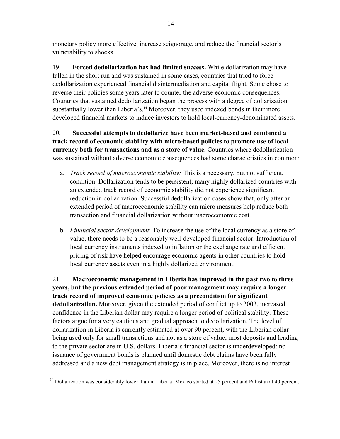monetary policy more effective, increase seignorage, and reduce the financial sector's vulnerability to shocks.

19. **Forced dedollarization has had limited success.** While dollarization may have fallen in the short run and was sustained in some cases, countries that tried to force dedollarization experienced financial disintermediation and capital flight. Some chose to reverse their policies some years later to counter the adverse economic consequences. Countries that sustained dedollarization began the process with a degree of dollarization substantially lower than Liberia's.<sup>14</sup> Moreover, they used indexed bonds in their more developed financial markets to induce investors to hold local-currency-denominated assets.

20. **Successful attempts to dedollarize have been market-based and combined a track record of economic stability with micro-based policies to promote use of local currency both for transactions and as a store of value.** Countries where dedollarization was sustained without adverse economic consequences had some characteristics in common:

- a. *Track record of macroeconomic stability:* This is a necessary, but not sufficient, condition. Dollarization tends to be persistent; many highly dollarized countries with an extended track record of economic stability did not experience significant reduction in dollarization. Successful dedollarization cases show that, only after an extended period of macroeconomic stability can micro measures help reduce both transaction and financial dollarization without macroeconomic cost.
- b. *Financial sector development*: To increase the use of the local currency as a store of value, there needs to be a reasonably well-developed financial sector. Introduction of local currency instruments indexed to inflation or the exchange rate and efficient pricing of risk have helped encourage economic agents in other countries to hold local currency assets even in a highly dollarized environment.

21. **Macroeconomic management in Liberia has improved in the past two to three years, but the previous extended period of poor management may require a longer track record of improved economic policies as a precondition for significant dedollarization.** Moreover, given the extended period of conflict up to 2003, increased confidence in the Liberian dollar may require a longer period of political stability. These factors argue for a very cautious and gradual approach to dedollarization. The level of dollarization in Liberia is currently estimated at over 90 percent, with the Liberian dollar being used only for small transactions and not as a store of value; most deposits and lending to the private sector are in U.S. dollars. Liberia's financial sector is underdeveloped: no issuance of government bonds is planned until domestic debt claims have been fully addressed and a new debt management strategy is in place. Moreover, there is no interest

 $\overline{a}$ <sup>14</sup> Dollarization was considerably lower than in Liberia: Mexico started at 25 percent and Pakistan at 40 percent.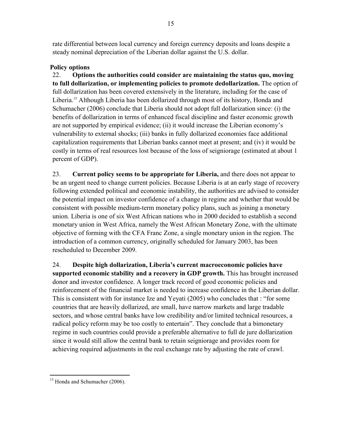rate differential between local currency and foreign currency deposits and loans despite a steady nominal depreciation of the Liberian dollar against the U.S. dollar.

# **Policy options**

22. **Options the authorities could consider are maintaining the status quo, moving to full dollarization, or implementing policies to promote dedollarization.** The option of full dollarization has been covered extensively in the literature, including for the case of Liberia.<sup>15</sup> Although Liberia has been dollarized through most of its history, Honda and Schumacher (2006) conclude that Liberia should not adopt full dollarization since: (i) the benefits of dollarization in terms of enhanced fiscal discipline and faster economic growth are not supported by empirical evidence; (ii) it would increase the Liberian economy's vulnerability to external shocks; (iii) banks in fully dollarized economies face additional capitalization requirements that Liberian banks cannot meet at present; and (iv) it would be costly in terms of real resources lost because of the loss of seigniorage (estimated at about 1 percent of GDP).

23. **Current policy seems to be appropriate for Liberia,** and there does not appear to be an urgent need to change current policies. Because Liberia is at an early stage of recovery following extended political and economic instability, the authorities are advised to consider the potential impact on investor confidence of a change in regime and whether that would be consistent with possible medium-term monetary policy plans, such as joining a monetary union*.* Liberia is one of six West African nations who in 2000 decided to establish a second monetary union in West Africa, namely the West African Monetary Zone, with the ultimate objective of forming with the CFA Franc Zone, a single monetary union in the region. The introduction of a common currency, originally scheduled for January 2003, has been rescheduled to December 2009.

24. **Despite high dollarization, Liberia's current macroeconomic policies have supported economic stability and a recovery in GDP growth.** This has brought increased donor and investor confidence. A longer track record of good economic policies and reinforcement of the financial market is needed to increase confidence in the Liberian dollar. This is consistent with for instance Ize and Yeyati (2005) who concludes that : "for some countries that are heavily dollarized, are small, have narrow markets and large tradable sectors, and whose central banks have low credibility and/or limited technical resources, a radical policy reform may be too costly to entertain". They conclude that a bimonetary regime in such countries could provide a preferable alternative to full de jure dollarization since it would still allow the central bank to retain seigniorage and provides room for achieving required adjustments in the real exchange rate by adjusting the rate of crawl.

<sup>1</sup> <sup>15</sup> Honda and Schumacher (2006).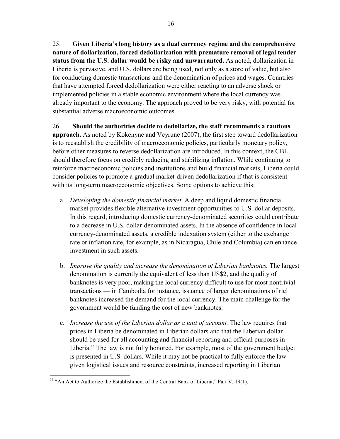25. **Given Liberia's long history as a dual currency regime and the comprehensive nature of dollarization, forced dedollarization with premature removal of legal tender status from the U.S. dollar would be risky and unwarranted.** As noted, dollarization in Liberia is pervasive, and U.S. dollars are being used, not only as a store of value, but also for conducting domestic transactions and the denomination of prices and wages. Countries that have attempted forced dedollarization were either reacting to an adverse shock or implemented policies in a stable economic environment where the local currency was already important to the economy. The approach proved to be very risky, with potential for substantial adverse macroeconomic outcomes.

26. **Should the authorities decide to dedollarize, the staff recommends a cautious approach.** As noted by Kokenyne and Veyrune (2007), the first step toward dedollarization is to reestablish the credibility of macroeconomic policies, particularly monetary policy, before other measures to reverse dedollarization are introduced. In this context, the CBL should therefore focus on credibly reducing and stabilizing inflation. While continuing to reinforce macroeconomic policies and institutions and build financial markets, Liberia could consider policies to promote a gradual market-driven dedollarization if that is consistent with its long-term macroeconomic objectives. Some options to achieve this:

- a. *Developing the domestic financial market.* A deep and liquid domestic financial market provides flexible alternative investment opportunities to U.S. dollar deposits. In this regard, introducing domestic currency-denominated securities could contribute to a decrease in U.S. dollar-denominated assets. In the absence of confidence in local currency-denominated assets, a credible indexation system (either to the exchange rate or inflation rate, for example, as in Nicaragua, Chile and Columbia) can enhance investment in such assets.
- b. *Improve the quality and increase the denomination of Liberian banknotes.* The largest denomination is currently the equivalent of less than US\$2, and the quality of banknotes is very poor, making the local currency difficult to use for most nontrivial transactions — in Cambodia for instance, issuance of larger denominations of riel banknotes increased the demand for the local currency. The main challenge for the government would be funding the cost of new banknotes.
- c. *Increase the use of the Liberian dollar as a unit of account.* The law requires that prices in Liberia be denominated in Liberian dollars and that the Liberian dollar should be used for all accounting and financial reporting and official purposes in Liberia.<sup>16</sup> The law is not fully honored. For example, most of the government budget is presented in U.S. dollars. While it may not be practical to fully enforce the law given logistical issues and resource constraints, increased reporting in Liberian

 $\overline{a}$ <sup>16</sup> "An Act to Authorize the Establishment of the Central Bank of Liberia," Part V, 19(1).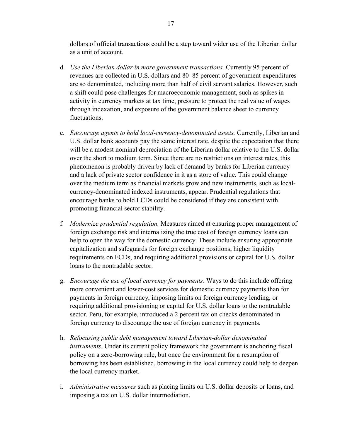dollars of official transactions could be a step toward wider use of the Liberian dollar as a unit of account.

- d. *Use the Liberian dollar in more government transactions.* Currently 95 percent of revenues are collected in U.S. dollars and 80–85 percent of government expenditures are so denominated, including more than half of civil servant salaries. However, such a shift could pose challenges for macroeconomic management, such as spikes in activity in currency markets at tax time, pressure to protect the real value of wages through indexation, and exposure of the government balance sheet to currency fluctuations.
- e. *Encourage agents to hold local-currency-denominated assets.* Currently, Liberian and U.S. dollar bank accounts pay the same interest rate, despite the expectation that there will be a modest nominal depreciation of the Liberian dollar relative to the U.S. dollar over the short to medium term. Since there are no restrictions on interest rates, this phenomenon is probably driven by lack of demand by banks for Liberian currency and a lack of private sector confidence in it as a store of value. This could change over the medium term as financial markets grow and new instruments, such as localcurrency-denominated indexed instruments, appear. Prudential regulations that encourage banks to hold LCDs could be considered if they are consistent with promoting financial sector stability.
- f. *Modernize prudential regulation.* Measures aimed at ensuring proper management of foreign exchange risk and internalizing the true cost of foreign currency loans can help to open the way for the domestic currency. These include ensuring appropriate capitalization and safeguards for foreign exchange positions, higher liquidity requirements on FCDs, and requiring additional provisions or capital for U.S. dollar loans to the nontradable sector.
- g. *Encourage the use of local currency for payments*. Ways to do this include offering more convenient and lower-cost services for domestic currency payments than for payments in foreign currency, imposing limits on foreign currency lending, or requiring additional provisioning or capital for U.S. dollar loans to the nontradable sector. Peru, for example, introduced a 2 percent tax on checks denominated in foreign currency to discourage the use of foreign currency in payments.
- h. *Refocusing public debt management toward Liberian-dollar denominated instruments.* Under its current policy framework the government is anchoring fiscal policy on a zero-borrowing rule, but once the environment for a resumption of borrowing has been established, borrowing in the local currency could help to deepen the local currency market.
- i. *Administrative measures* such as placing limits on U.S. dollar deposits or loans, and imposing a tax on U.S. dollar intermediation.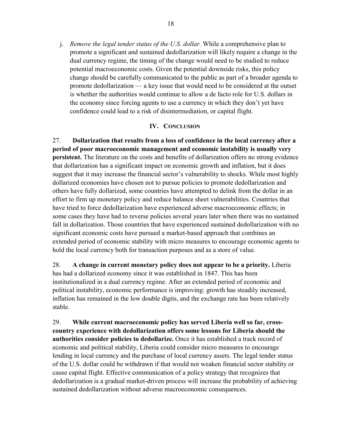j. *Remove the legal tender status of the U.S. dollar.* While a comprehensive plan to promote a significant and sustained dedollarization will likely require a change in the dual currency regime, the timing of the change would need to be studied to reduce potential macroeconomic costs. Given the potential downside risks, this policy change should be carefully communicated to the public as part of a broader agenda to promote dedollarization — a key issue that would need to be considered at the outset is whether the authorities would continue to allow a de facto role for U.S. dollars in the economy since forcing agents to use a currency in which they don't yet have confidence could lead to a risk of disintermediation, or capital flight.

# **IV. CONCLUSION**

27. **Dollarization that results from a loss of confidence in the local currency after a period of poor macroeconomic management and economic instability is usually very persistent.** The literature on the costs and benefits of dollarization offers no strong evidence that dollarization has a significant impact on economic growth and inflation, but it does suggest that it may increase the financial sector's vulnerability to shocks. While most highly dollarized economies have chosen not to pursue policies to promote dedollarization and others have fully dollarized, some countries have attempted to delink from the dollar in an effort to firm up monetary policy and reduce balance sheet vulnerabilities. Countries that have tried to force dedollarization have experienced adverse macroeconomic effects; in some cases they have had to reverse policies several years later when there was no sustained fall in dollarization. Those countries that have experienced sustained dedollarization with no significant economic costs have pursued a market-based approach that combines an extended period of economic stability with micro measures to encourage economic agents to hold the local currency both for transaction purposes and as a store of value.

28. **A change in current monetary policy does not appear to be a priority.** Liberia has had a dollarized economy since it was established in 1847. This has been institutionalized in a dual currency regime. After an extended period of economic and political instability, economic performance is improving: growth has steadily increased, inflation has remained in the low double digits, and the exchange rate has been relatively stable.

29. **While current macroeconomic policy has served Liberia well so far, crosscountry experience with dedollarization offers some lessons for Liberia should the authorities consider policies to dedollarize.** Once it has established a track record of economic and political stability, Liberia could consider micro measures to encourage lending in local currency and the purchase of local currency assets. The legal tender status of the U.S. dollar could be withdrawn if that would not weaken financial sector stability or cause capital flight. Effective communication of a policy strategy that recognizes that dedollarization is a gradual market-driven process will increase the probability of achieving sustained dedollarization without adverse macroeconomic consequences.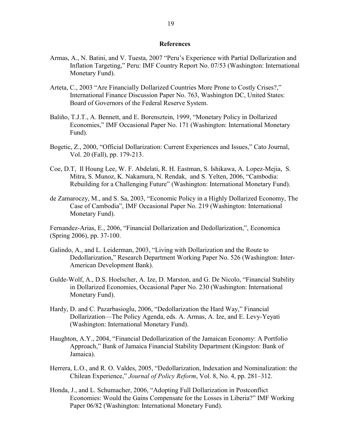## **References**

- Armas, A., N. Batini, and V. Tuesta, 2007 "Peru's Experience with Partial Dollarization and Inflation Targeting," Peru: IMF Country Report No. 07/53 (Washington: International Monetary Fund).
- Arteta, C., 2003 "Are Financially Dollarized Countries More Prone to Costly Crises?," International Finance Discussion Paper No. 763, Washington DC, United States: Board of Governors of the Federal Reserve System.
- Baliño, T.J.T., A. Bennett, and E. Borensztein, 1999, "Monetary Policy in Dollarized Economies," IMF Occasional Paper No. 171 (Washington: International Monetary Fund).
- Bogetic, Z., 2000, "Official Dollarization: Current Experiences and Issues," Cato Journal, Vol. 20 (Fall), pp. 179-213.
- Coe, D.T, Il Houng Lee, W. F. Abdelati, R. H. Eastman, S. Ishikawa, A. Lopez-Mejia, S. Mitra, S. Munoz, K. Nakamura, N. Rendak, and S. Yelten, 2006, "Cambodia: Rebuilding for a Challenging Future" (Washington: International Monetary Fund).
- de Zamaroczy, M., and S. Sa, 2003, "Economic Policy in a Highly Dollarized Economy, The Case of Cambodia", IMF Occasional Paper No. 219 (Washington: International Monetary Fund).

Fernandez-Arias, E., 2006, "Financial Dollarization and Dedollarization,", Economica (Spring 2006), pp. 37-100.

- Galindo, A., and L. Leiderman, 2003, "Living with Dollarization and the Route to Dedollarization," Research Department Working Paper No. 526 (Washington: Inter-American Development Bank).
- Gulde-Wolf, A., D.S. Hoelscher, A. Ize, D. Marston, and G. De Nicolo, "Financial Stability in Dollarized Economies, Occasional Paper No. 230 (Washington: International Monetary Fund).
- Hardy, D. and C. Pazarbasioglu, 2006, "Dedollarization the Hard Way," Financial Dollarization—The Policy Agenda, eds. A. Armas, A. Ize, and E. Levy-Yeyati (Washington: International Monetary Fund).
- Haughton, A.Y., 2004, "Financial Dedollarization of the Jamaican Economy: A Portfolio Approach," Bank of Jamaica Financial Stability Department (Kingston: Bank of Jamaica).
- Herrera, L.O., and R. O. Valdes, 2005, "Dedollarization, Indexation and Nominalization: the Chilean Experience," *Journal of Policy Reform*, Vol. 8, No. 4, pp. 281–312.
- Honda, J., and L. Schumacher, 2006, "Adopting Full Dollarization in Postconflict Economies: Would the Gains Compensate for the Losses in Liberia?" IMF Working Paper 06/82 (Washington: International Monetary Fund).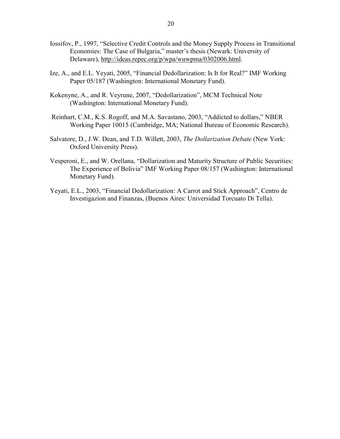- Iossifov, P., 1997, "Selective Credit Controls and the Money Supply Process in Transitional Economies: The Case of Bulgaria," master's thesis (Newark: University of Delaware), http://ideas.repec.org/p/wpa/wuwpma/0302006.html.
- Ize, A., and E.L. Yeyati, 2005, "Financial Dedollarization: Is It for Real?" IMF Working Paper 05/187 (Washington: International Monetary Fund).
- Kokenyne, A., and R. Veyrune, 2007, "Dedollarization", MCM Technical Note (Washington: International Monetary Fund).
- Reinhart, C.M., K.S. Rogoff, and M.A. Savastano, 2003, "Addicted to dollars," NBER Working Paper 10015 (Cambridge, MA; National Bureau of Economic Research).
- Salvatore, D., J.W. Dean, and T.D. Willett, 2003, *The Dollarization Debate* (New York: Oxford University Press).
- Vesperoni, E., and W. Orellana, "Dollarization and Maturity Structure of Public Securities: The Experience of Bolivia" IMF Working Paper 08/157 (Washington: International Monetary Fund).
- Yeyati, E.L., 2003, "Financial Dedollarization: A Carrot and Stick Approach", Centro de Investigazion and Finanzas, (Buenos Aires: Universidad Torcuato Di Tella).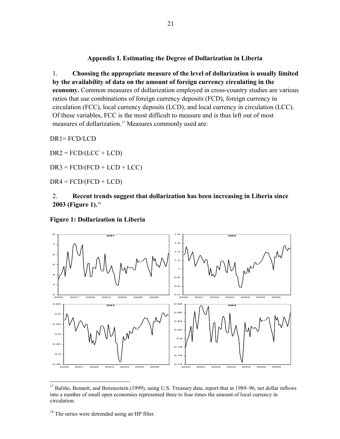# **Appendix I. Estimating the Degree of Dollarization in Liberia**

1. **Choosing the appropriate measure of the level of dollarization is usually limited by the availability of data on the amount of foreign currency circulating in the economy.** Common measures of dollarization employed in cross-country studies are various ratios that use combinations of foreign currency deposits (FCD), foreign currency in circulation (FCC), local currency deposits (LCD), and local currency in circulation (LCC). Of these variables, FCC is the most difficult to measure and is thus left out of most measures of dollarization.<sup>17</sup> Measures commonly used are:

DR1= FCD/LCD

 $DR2 = FCD/(LCC + LCD)$ 

 $DR3 = FCD/(FCD + LCD + LCC)$ 

 $DR4 = FCD/(FCD + LCD)$ 

2. **Recent trends suggest that dollarization has been increasing in Liberia since 2003 (Figure 1).**<sup>18</sup>

# **Figure 1: Dollarization in Liberia**



<sup>&</sup>lt;u>.</u> <sup>17</sup> Baliño, Bennett, and Borensztein (1999), using U.S. Treasury data, report that in 1989–96, net dollar inflows into a number of small open economies represented three to four times the amount of local currency in circulation.

<sup>&</sup>lt;sup>18</sup> The series were detrended using an HP filter.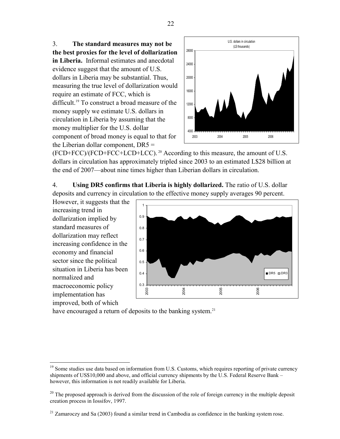3. **The standard measures may not be the best proxies for the level of dollarization in Liberia.** Informal estimates and anecdotal evidence suggest that the amount of U.S. dollars in Liberia may be substantial. Thus, measuring the true level of dollarization would require an estimate of FCC, which is difficult.19 To construct a broad measure of the money supply we estimate U.S. dollars in circulation in Liberia by assuming that the money multiplier for the U.S. dollar component of broad money is equal to that for the Liberian dollar component,  $DR5 =$ 



(FCD+FCC)/(FCD+FCC+LCD+LCC). 20 According to this measure, the amount of U.S. dollars in circulation has approximately tripled since 2003 to an estimated L\$28 billion at the end of 2007—about nine times higher than Liberian dollars in circulation.

4. **Using DR5 confirms that Liberia is highly dollarized.** The ratio of U.S. dollar deposits and currency in circulation to the effective money supply averages 90 percent.

However, it suggests that the increasing trend in dollarization implied by standard measures of dollarization may reflect increasing confidence in the economy and financial sector since the political situation in Liberia has been normalized and macroeconomic policy implementation has improved, both of which

 $\overline{a}$ 



have encouraged a return of deposits to the banking system.<sup>21</sup>

22

<sup>&</sup>lt;sup>19</sup> Some studies use data based on information from U.S. Customs, which requires reporting of private currency shipments of US\$10,000 and above, and official currency shipments by the U.S. Federal Reserve Bank – however, this information is not readily available for Liberia.

<sup>&</sup>lt;sup>20</sup> The proposed approach is derived from the discussion of the role of foreign currency in the multiple deposit creation process in Iossifov, 1997.

 $^{21}$  Zamaroczy and Sa (2003) found a similar trend in Cambodia as confidence in the banking system rose.